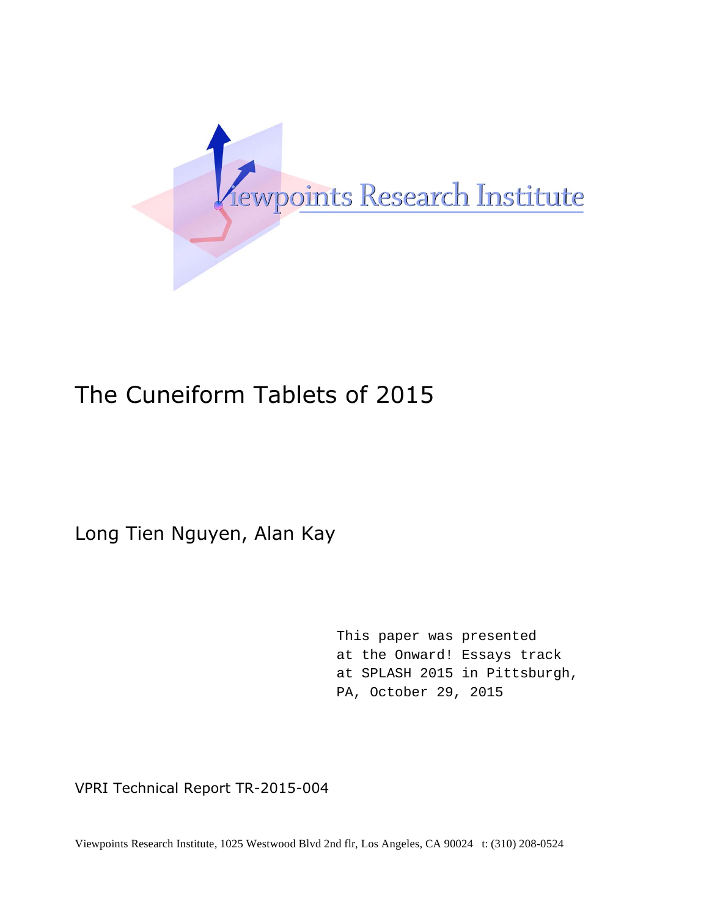

# The Cuneiform Tablets of 2015

Long Tien Nguyen, Alan Kay

This paper was presented at the Onward! Essays track at SPLASH 2015 in Pittsburgh, PA, October 29, 2015

VPRI Technical Report TR-2015-004

Viewpoints Research Institute, 1025 Westwood Blvd 2nd flr, Los Angeles, CA 90024 t: (310) 208-0524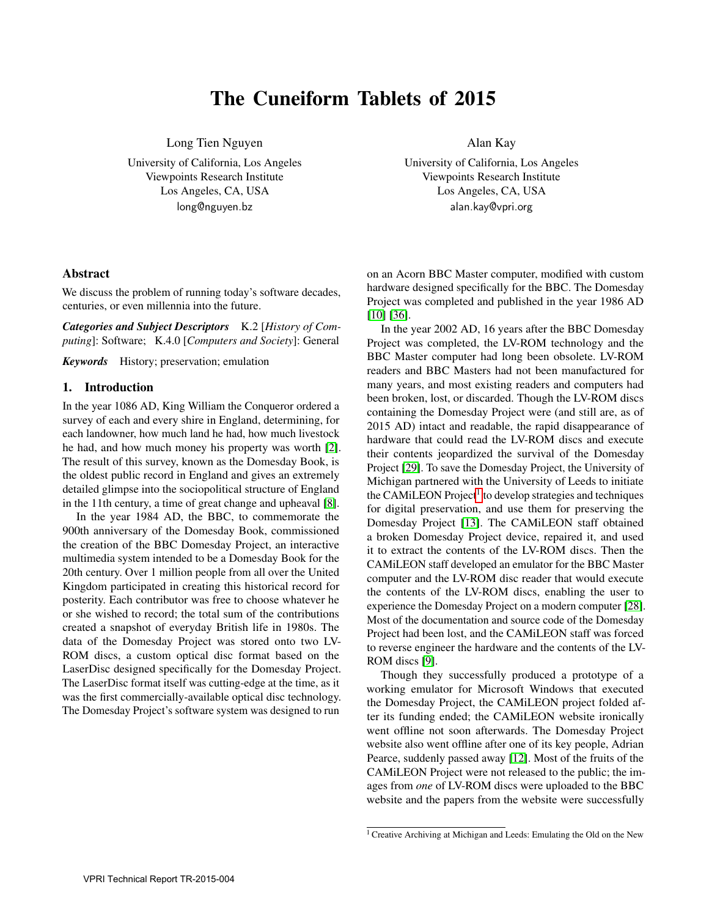# The Cuneiform Tablets of 2015

Long Tien Nguyen

University of California, Los Angeles Viewpoints Research Institute Los Angeles, CA, USA long@nguyen.bz

Alan Kay

University of California, Los Angeles Viewpoints Research Institute Los Angeles, CA, USA alan.kay@vpri.org

# Abstract

We discuss the problem of running today's software decades, centuries, or even millennia into the future.

*Categories and Subject Descriptors* K.2 [*History of Computing*]: Software; K.4.0 [*Computers and Society*]: General

*Keywords* History; preservation; emulation

#### 1. Introduction

In the year 1086 AD, King William the Conqueror ordered a survey of each and every shire in England, determining, for each landowner, how much land he had, how much livestock he had, and how much money his property was worth [\[2\]](#page-10-0). The result of this survey, known as the Domesday Book, is the oldest public record in England and gives an extremely detailed glimpse into the sociopolitical structure of England in the 11th century, a time of great change and upheaval [\[8\]](#page-10-1).

In the year 1984 AD, the BBC, to commemorate the 900th anniversary of the Domesday Book, commissioned the creation of the BBC Domesday Project, an interactive multimedia system intended to be a Domesday Book for the 20th century. Over 1 million people from all over the United Kingdom participated in creating this historical record for posterity. Each contributor was free to choose whatever he or she wished to record; the total sum of the contributions created a snapshot of everyday British life in 1980s. The data of the Domesday Project was stored onto two LV-ROM discs, a custom optical disc format based on the LaserDisc designed specifically for the Domesday Project. The LaserDisc format itself was cutting-edge at the time, as it was the first commercially-available optical disc technology. The Domesday Project's software system was designed to run

on an Acorn BBC Master computer, modified with custom hardware designed specifically for the BBC. The Domesday Project was completed and published in the year 1986 AD [\[10\]](#page-11-0) [\[36\]](#page-11-1).

In the year 2002 AD, 16 years after the BBC Domesday Project was completed, the LV-ROM technology and the BBC Master computer had long been obsolete. LV-ROM readers and BBC Masters had not been manufactured for many years, and most existing readers and computers had been broken, lost, or discarded. Though the LV-ROM discs containing the Domesday Project were (and still are, as of 2015 AD) intact and readable, the rapid disappearance of hardware that could read the LV-ROM discs and execute their contents jeopardized the survival of the Domesday Project [\[29\]](#page-11-2). To save the Domesday Project, the University of Michigan partnered with the University of Leeds to initiate the CAMiLEON Project<sup>[1](#page-1-0)</sup> to develop strategies and techniques for digital preservation, and use them for preserving the Domesday Project [\[13\]](#page-11-3). The CAMiLEON staff obtained a broken Domesday Project device, repaired it, and used it to extract the contents of the LV-ROM discs. Then the CAMiLEON staff developed an emulator for the BBC Master computer and the LV-ROM disc reader that would execute the contents of the LV-ROM discs, enabling the user to experience the Domesday Project on a modern computer [\[28\]](#page-11-4). Most of the documentation and source code of the Domesday Project had been lost, and the CAMiLEON staff was forced to reverse engineer the hardware and the contents of the LV-ROM discs [\[9\]](#page-11-5).

Though they successfully produced a prototype of a working emulator for Microsoft Windows that executed the Domesday Project, the CAMiLEON project folded after its funding ended; the CAMiLEON website ironically went offline not soon afterwards. The Domesday Project website also went offline after one of its key people, Adrian Pearce, suddenly passed away [\[12\]](#page-11-6). Most of the fruits of the CAMiLEON Project were not released to the public; the images from *one* of LV-ROM discs were uploaded to the BBC website and the papers from the website were successfully

<span id="page-1-0"></span><sup>&</sup>lt;sup>1</sup> Creative Archiving at Michigan and Leeds: Emulating the Old on the New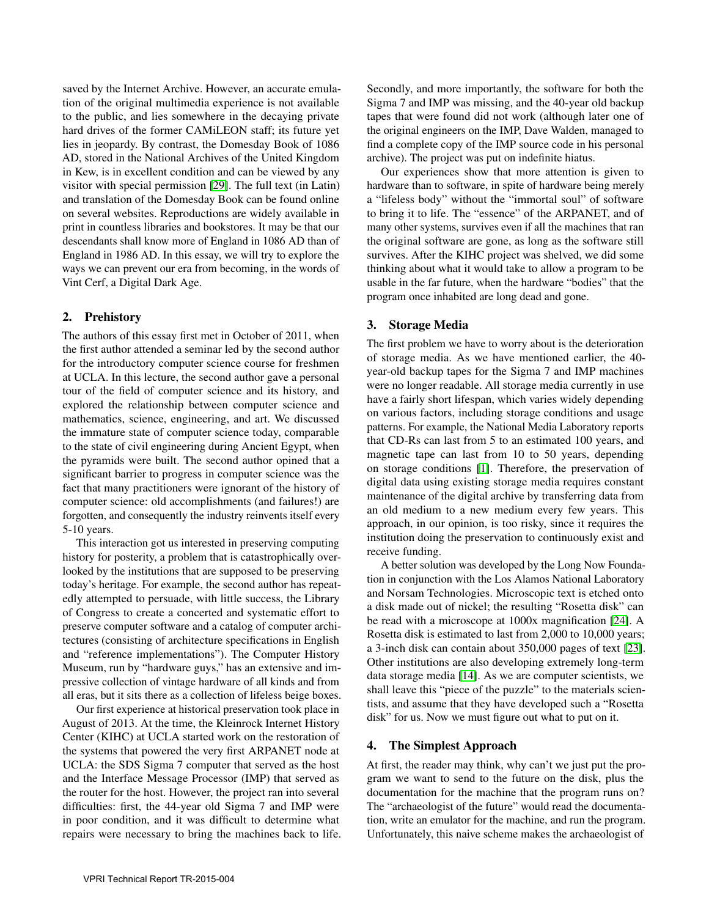saved by the Internet Archive. However, an accurate emulation of the original multimedia experience is not available to the public, and lies somewhere in the decaying private hard drives of the former CAMiLEON staff; its future yet lies in jeopardy. By contrast, the Domesday Book of 1086 AD, stored in the National Archives of the United Kingdom in Kew, is in excellent condition and can be viewed by any visitor with special permission [\[29\]](#page-11-2). The full text (in Latin) and translation of the Domesday Book can be found online on several websites. Reproductions are widely available in print in countless libraries and bookstores. It may be that our descendants shall know more of England in 1086 AD than of England in 1986 AD. In this essay, we will try to explore the ways we can prevent our era from becoming, in the words of Vint Cerf, a Digital Dark Age.

# 2. Prehistory

The authors of this essay first met in October of 2011, when the first author attended a seminar led by the second author for the introductory computer science course for freshmen at UCLA. In this lecture, the second author gave a personal tour of the field of computer science and its history, and explored the relationship between computer science and mathematics, science, engineering, and art. We discussed the immature state of computer science today, comparable to the state of civil engineering during Ancient Egypt, when the pyramids were built. The second author opined that a significant barrier to progress in computer science was the fact that many practitioners were ignorant of the history of computer science: old accomplishments (and failures!) are forgotten, and consequently the industry reinvents itself every 5-10 years.

This interaction got us interested in preserving computing history for posterity, a problem that is catastrophically overlooked by the institutions that are supposed to be preserving today's heritage. For example, the second author has repeatedly attempted to persuade, with little success, the Library of Congress to create a concerted and systematic effort to preserve computer software and a catalog of computer architectures (consisting of architecture specifications in English and "reference implementations"). The Computer History Museum, run by "hardware guys," has an extensive and impressive collection of vintage hardware of all kinds and from all eras, but it sits there as a collection of lifeless beige boxes.

Our first experience at historical preservation took place in August of 2013. At the time, the Kleinrock Internet History Center (KIHC) at UCLA started work on the restoration of the systems that powered the very first ARPANET node at UCLA: the SDS Sigma 7 computer that served as the host and the Interface Message Processor (IMP) that served as the router for the host. However, the project ran into several difficulties: first, the 44-year old Sigma 7 and IMP were in poor condition, and it was difficult to determine what repairs were necessary to bring the machines back to life. Secondly, and more importantly, the software for both the Sigma 7 and IMP was missing, and the 40-year old backup tapes that were found did not work (although later one of the original engineers on the IMP, Dave Walden, managed to find a complete copy of the IMP source code in his personal archive). The project was put on indefinite hiatus.

Our experiences show that more attention is given to hardware than to software, in spite of hardware being merely a "lifeless body" without the "immortal soul" of software to bring it to life. The "essence" of the ARPANET, and of many other systems, survives even if all the machines that ran the original software are gone, as long as the software still survives. After the KIHC project was shelved, we did some thinking about what it would take to allow a program to be usable in the far future, when the hardware "bodies" that the program once inhabited are long dead and gone.

# 3. Storage Media

The first problem we have to worry about is the deterioration of storage media. As we have mentioned earlier, the 40 year-old backup tapes for the Sigma 7 and IMP machines were no longer readable. All storage media currently in use have a fairly short lifespan, which varies widely depending on various factors, including storage conditions and usage patterns. For example, the National Media Laboratory reports that CD-Rs can last from 5 to an estimated 100 years, and magnetic tape can last from 10 to 50 years, depending on storage conditions [\[1\]](#page-10-2). Therefore, the preservation of digital data using existing storage media requires constant maintenance of the digital archive by transferring data from an old medium to a new medium every few years. This approach, in our opinion, is too risky, since it requires the institution doing the preservation to continuously exist and receive funding.

A better solution was developed by the Long Now Foundation in conjunction with the Los Alamos National Laboratory and Norsam Technologies. Microscopic text is etched onto a disk made out of nickel; the resulting "Rosetta disk" can be read with a microscope at 1000x magnification [\[24\]](#page-11-7). A Rosetta disk is estimated to last from 2,000 to 10,000 years; a 3-inch disk can contain about 350,000 pages of text [\[23\]](#page-11-8). Other institutions are also developing extremely long-term data storage media [\[14\]](#page-11-9). As we are computer scientists, we shall leave this "piece of the puzzle" to the materials scientists, and assume that they have developed such a "Rosetta disk" for us. Now we must figure out what to put on it.

#### 4. The Simplest Approach

At first, the reader may think, why can't we just put the program we want to send to the future on the disk, plus the documentation for the machine that the program runs on? The "archaeologist of the future" would read the documentation, write an emulator for the machine, and run the program. Unfortunately, this naive scheme makes the archaeologist of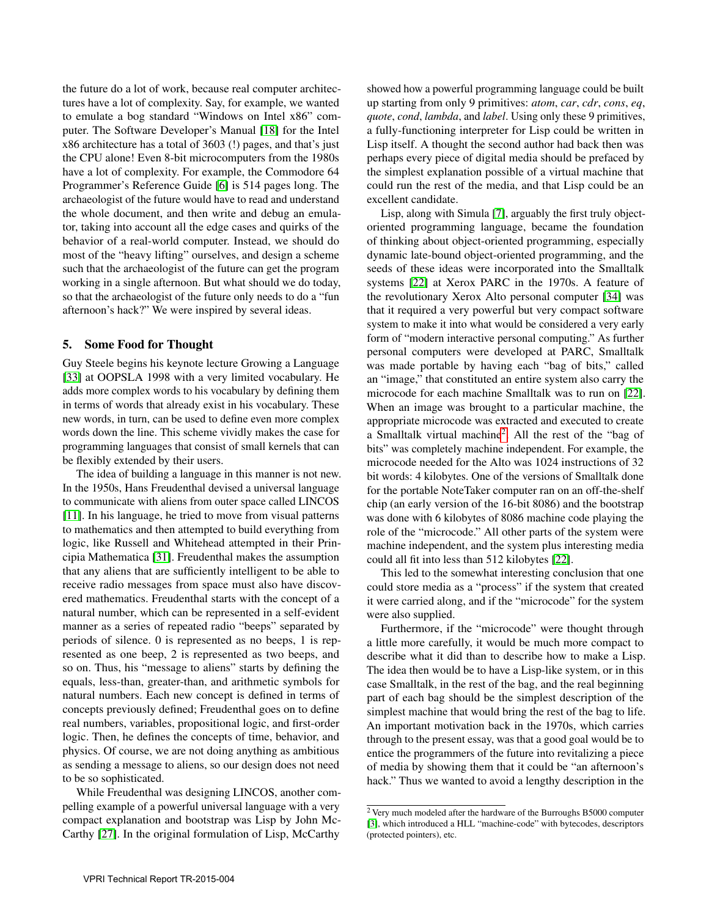the future do a lot of work, because real computer architectures have a lot of complexity. Say, for example, we wanted to emulate a bog standard "Windows on Intel x86" computer. The Software Developer's Manual [\[18\]](#page-11-10) for the Intel x86 architecture has a total of 3603 (!) pages, and that's just the CPU alone! Even 8-bit microcomputers from the 1980s have a lot of complexity. For example, the Commodore 64 Programmer's Reference Guide [\[6\]](#page-10-3) is 514 pages long. The archaeologist of the future would have to read and understand the whole document, and then write and debug an emulator, taking into account all the edge cases and quirks of the behavior of a real-world computer. Instead, we should do most of the "heavy lifting" ourselves, and design a scheme such that the archaeologist of the future can get the program working in a single afternoon. But what should we do today, so that the archaeologist of the future only needs to do a "fun afternoon's hack?" We were inspired by several ideas.

# 5. Some Food for Thought

Guy Steele begins his keynote lecture Growing a Language [\[33\]](#page-11-11) at OOPSLA 1998 with a very limited vocabulary. He adds more complex words to his vocabulary by defining them in terms of words that already exist in his vocabulary. These new words, in turn, can be used to define even more complex words down the line. This scheme vividly makes the case for programming languages that consist of small kernels that can be flexibly extended by their users.

The idea of building a language in this manner is not new. In the 1950s, Hans Freudenthal devised a universal language to communicate with aliens from outer space called LINCOS [\[11\]](#page-11-12). In his language, he tried to move from visual patterns to mathematics and then attempted to build everything from logic, like Russell and Whitehead attempted in their Principia Mathematica [\[31\]](#page-11-13). Freudenthal makes the assumption that any aliens that are sufficiently intelligent to be able to receive radio messages from space must also have discovered mathematics. Freudenthal starts with the concept of a natural number, which can be represented in a self-evident manner as a series of repeated radio "beeps" separated by periods of silence. 0 is represented as no beeps, 1 is represented as one beep, 2 is represented as two beeps, and so on. Thus, his "message to aliens" starts by defining the equals, less-than, greater-than, and arithmetic symbols for natural numbers. Each new concept is defined in terms of concepts previously defined; Freudenthal goes on to define real numbers, variables, propositional logic, and first-order logic. Then, he defines the concepts of time, behavior, and physics. Of course, we are not doing anything as ambitious as sending a message to aliens, so our design does not need to be so sophisticated.

While Freudenthal was designing LINCOS, another compelling example of a powerful universal language with a very compact explanation and bootstrap was Lisp by John Mc-Carthy [\[27\]](#page-11-14). In the original formulation of Lisp, McCarthy

showed how a powerful programming language could be built up starting from only 9 primitives: *atom*, *car*, *cdr*, *cons*, *eq*, *quote*, *cond*, *lambda*, and *label*. Using only these 9 primitives, a fully-functioning interpreter for Lisp could be written in Lisp itself. A thought the second author had back then was perhaps every piece of digital media should be prefaced by the simplest explanation possible of a virtual machine that could run the rest of the media, and that Lisp could be an excellent candidate.

Lisp, along with Simula [\[7\]](#page-10-4), arguably the first truly objectoriented programming language, became the foundation of thinking about object-oriented programming, especially dynamic late-bound object-oriented programming, and the seeds of these ideas were incorporated into the Smalltalk systems [\[22\]](#page-11-15) at Xerox PARC in the 1970s. A feature of the revolutionary Xerox Alto personal computer [\[34\]](#page-11-16) was that it required a very powerful but very compact software system to make it into what would be considered a very early form of "modern interactive personal computing." As further personal computers were developed at PARC, Smalltalk was made portable by having each "bag of bits," called an "image," that constituted an entire system also carry the microcode for each machine Smalltalk was to run on [\[22\]](#page-11-15). When an image was brought to a particular machine, the appropriate microcode was extracted and executed to create a Smalltalk virtual machine[2](#page-3-0) . All the rest of the "bag of bits" was completely machine independent. For example, the microcode needed for the Alto was 1024 instructions of 32 bit words: 4 kilobytes. One of the versions of Smalltalk done for the portable NoteTaker computer ran on an off-the-shelf chip (an early version of the 16-bit 8086) and the bootstrap was done with 6 kilobytes of 8086 machine code playing the role of the "microcode." All other parts of the system were machine independent, and the system plus interesting media could all fit into less than 512 kilobytes [\[22\]](#page-11-15).

This led to the somewhat interesting conclusion that one could store media as a "process" if the system that created it were carried along, and if the "microcode" for the system were also supplied.

Furthermore, if the "microcode" were thought through a little more carefully, it would be much more compact to describe what it did than to describe how to make a Lisp. The idea then would be to have a Lisp-like system, or in this case Smalltalk, in the rest of the bag, and the real beginning part of each bag should be the simplest description of the simplest machine that would bring the rest of the bag to life. An important motivation back in the 1970s, which carries through to the present essay, was that a good goal would be to entice the programmers of the future into revitalizing a piece of media by showing them that it could be "an afternoon's hack." Thus we wanted to avoid a lengthy description in the

<span id="page-3-0"></span><sup>2</sup> Very much modeled after the hardware of the Burroughs B5000 computer [\[3\]](#page-10-5), which introduced a HLL "machine-code" with bytecodes, descriptors (protected pointers), etc.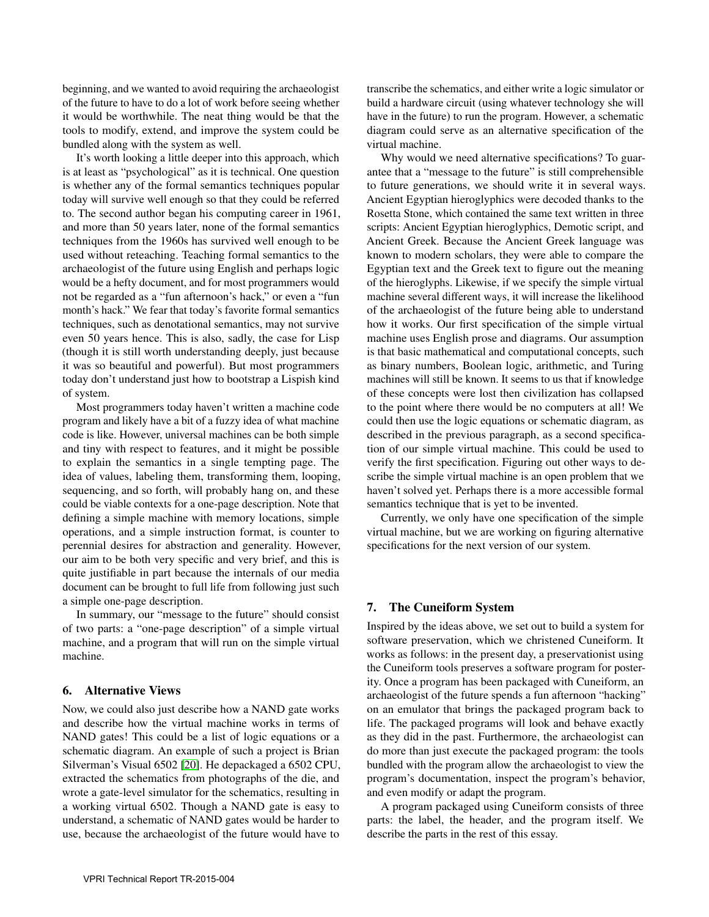beginning, and we wanted to avoid requiring the archaeologist of the future to have to do a lot of work before seeing whether it would be worthwhile. The neat thing would be that the tools to modify, extend, and improve the system could be bundled along with the system as well.

It's worth looking a little deeper into this approach, which is at least as "psychological" as it is technical. One question is whether any of the formal semantics techniques popular today will survive well enough so that they could be referred to. The second author began his computing career in 1961, and more than 50 years later, none of the formal semantics techniques from the 1960s has survived well enough to be used without reteaching. Teaching formal semantics to the archaeologist of the future using English and perhaps logic would be a hefty document, and for most programmers would not be regarded as a "fun afternoon's hack," or even a "fun month's hack." We fear that today's favorite formal semantics techniques, such as denotational semantics, may not survive even 50 years hence. This is also, sadly, the case for Lisp (though it is still worth understanding deeply, just because it was so beautiful and powerful). But most programmers today don't understand just how to bootstrap a Lispish kind of system.

Most programmers today haven't written a machine code program and likely have a bit of a fuzzy idea of what machine code is like. However, universal machines can be both simple and tiny with respect to features, and it might be possible to explain the semantics in a single tempting page. The idea of values, labeling them, transforming them, looping, sequencing, and so forth, will probably hang on, and these could be viable contexts for a one-page description. Note that defining a simple machine with memory locations, simple operations, and a simple instruction format, is counter to perennial desires for abstraction and generality. However, our aim to be both very specific and very brief, and this is quite justifiable in part because the internals of our media document can be brought to full life from following just such a simple one-page description.

In summary, our "message to the future" should consist of two parts: a "one-page description" of a simple virtual machine, and a program that will run on the simple virtual machine.

#### 6. Alternative Views

Now, we could also just describe how a NAND gate works and describe how the virtual machine works in terms of NAND gates! This could be a list of logic equations or a schematic diagram. An example of such a project is Brian Silverman's Visual 6502 [\[20\]](#page-11-17). He depackaged a 6502 CPU, extracted the schematics from photographs of the die, and wrote a gate-level simulator for the schematics, resulting in a working virtual 6502. Though a NAND gate is easy to understand, a schematic of NAND gates would be harder to use, because the archaeologist of the future would have to transcribe the schematics, and either write a logic simulator or build a hardware circuit (using whatever technology she will have in the future) to run the program. However, a schematic diagram could serve as an alternative specification of the virtual machine.

Why would we need alternative specifications? To guarantee that a "message to the future" is still comprehensible to future generations, we should write it in several ways. Ancient Egyptian hieroglyphics were decoded thanks to the Rosetta Stone, which contained the same text written in three scripts: Ancient Egyptian hieroglyphics, Demotic script, and Ancient Greek. Because the Ancient Greek language was known to modern scholars, they were able to compare the Egyptian text and the Greek text to figure out the meaning of the hieroglyphs. Likewise, if we specify the simple virtual machine several different ways, it will increase the likelihood of the archaeologist of the future being able to understand how it works. Our first specification of the simple virtual machine uses English prose and diagrams. Our assumption is that basic mathematical and computational concepts, such as binary numbers, Boolean logic, arithmetic, and Turing machines will still be known. It seems to us that if knowledge of these concepts were lost then civilization has collapsed to the point where there would be no computers at all! We could then use the logic equations or schematic diagram, as described in the previous paragraph, as a second specification of our simple virtual machine. This could be used to verify the first specification. Figuring out other ways to describe the simple virtual machine is an open problem that we haven't solved yet. Perhaps there is a more accessible formal semantics technique that is yet to be invented.

Currently, we only have one specification of the simple virtual machine, but we are working on figuring alternative specifications for the next version of our system.

#### 7. The Cuneiform System

Inspired by the ideas above, we set out to build a system for software preservation, which we christened Cuneiform. It works as follows: in the present day, a preservationist using the Cuneiform tools preserves a software program for posterity. Once a program has been packaged with Cuneiform, an archaeologist of the future spends a fun afternoon "hacking" on an emulator that brings the packaged program back to life. The packaged programs will look and behave exactly as they did in the past. Furthermore, the archaeologist can do more than just execute the packaged program: the tools bundled with the program allow the archaeologist to view the program's documentation, inspect the program's behavior, and even modify or adapt the program.

A program packaged using Cuneiform consists of three parts: the label, the header, and the program itself. We describe the parts in the rest of this essay.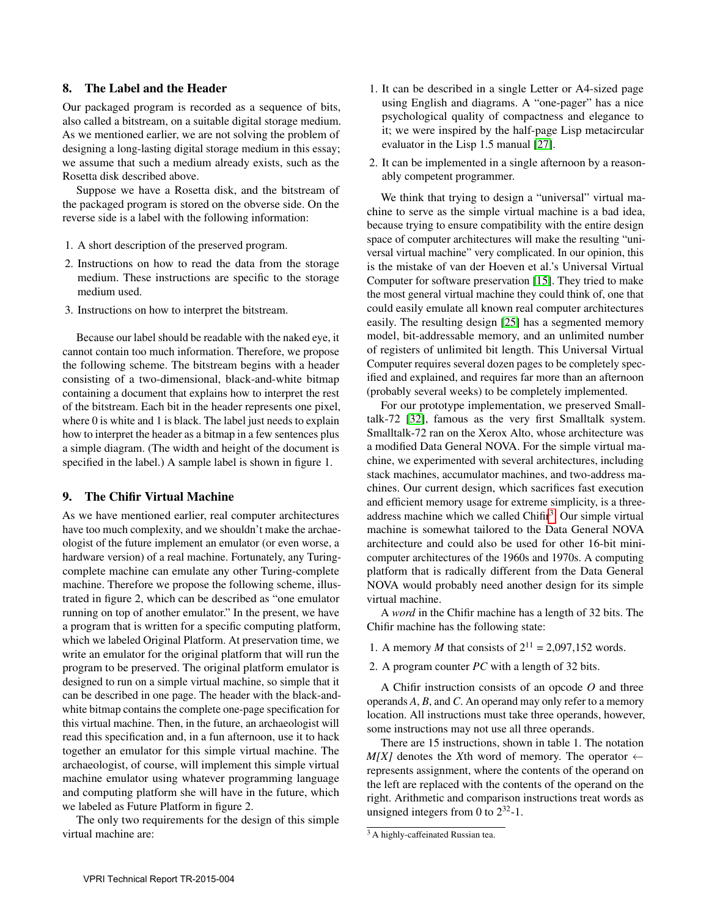# 8. The Label and the Header

Our packaged program is recorded as a sequence of bits, also called a bitstream, on a suitable digital storage medium. As we mentioned earlier, we are not solving the problem of designing a long-lasting digital storage medium in this essay; we assume that such a medium already exists, such as the Rosetta disk described above.

Suppose we have a Rosetta disk, and the bitstream of the packaged program is stored on the obverse side. On the reverse side is a label with the following information:

- 1. A short description of the preserved program.
- 2. Instructions on how to read the data from the storage medium. These instructions are specific to the storage medium used.
- 3. Instructions on how to interpret the bitstream.

Because our label should be readable with the naked eye, it cannot contain too much information. Therefore, we propose the following scheme. The bitstream begins with a header consisting of a two-dimensional, black-and-white bitmap containing a document that explains how to interpret the rest of the bitstream. Each bit in the header represents one pixel, where 0 is white and 1 is black. The label just needs to explain how to interpret the header as a bitmap in a few sentences plus a simple diagram. (The width and height of the document is specified in the label.) A sample label is shown in figure 1.

#### 9. The Chifir Virtual Machine

As we have mentioned earlier, real computer architectures have too much complexity, and we shouldn't make the archaeologist of the future implement an emulator (or even worse, a hardware version) of a real machine. Fortunately, any Turingcomplete machine can emulate any other Turing-complete machine. Therefore we propose the following scheme, illustrated in figure 2, which can be described as "one emulator running on top of another emulator." In the present, we have a program that is written for a specific computing platform, which we labeled Original Platform. At preservation time, we write an emulator for the original platform that will run the program to be preserved. The original platform emulator is designed to run on a simple virtual machine, so simple that it can be described in one page. The header with the black-andwhite bitmap contains the complete one-page specification for this virtual machine. Then, in the future, an archaeologist will read this specification and, in a fun afternoon, use it to hack together an emulator for this simple virtual machine. The archaeologist, of course, will implement this simple virtual machine emulator using whatever programming language and computing platform she will have in the future, which we labeled as Future Platform in figure 2.

The only two requirements for the design of this simple virtual machine are:

- 1. It can be described in a single Letter or A4-sized page using English and diagrams. A "one-pager" has a nice psychological quality of compactness and elegance to it; we were inspired by the half-page Lisp metacircular evaluator in the Lisp 1.5 manual [\[27\]](#page-11-14).
- 2. It can be implemented in a single afternoon by a reasonably competent programmer.

We think that trying to design a "universal" virtual machine to serve as the simple virtual machine is a bad idea, because trying to ensure compatibility with the entire design space of computer architectures will make the resulting "universal virtual machine" very complicated. In our opinion, this is the mistake of van der Hoeven et al.'s Universal Virtual Computer for software preservation [\[15\]](#page-11-18). They tried to make the most general virtual machine they could think of, one that could easily emulate all known real computer architectures easily. The resulting design [\[25\]](#page-11-19) has a segmented memory model, bit-addressable memory, and an unlimited number of registers of unlimited bit length. This Universal Virtual Computer requires several dozen pages to be completely specified and explained, and requires far more than an afternoon (probably several weeks) to be completely implemented.

For our prototype implementation, we preserved Smalltalk-72 [\[32\]](#page-11-20), famous as the very first Smalltalk system. Smalltalk-72 ran on the Xerox Alto, whose architecture was a modified Data General NOVA. For the simple virtual machine, we experimented with several architectures, including stack machines, accumulator machines, and two-address machines. Our current design, which sacrifices fast execution and efficient memory usage for extreme simplicity, is a three-address machine which we called Chifir<sup>[3](#page-5-0)</sup>. Our simple virtual machine is somewhat tailored to the Data General NOVA architecture and could also be used for other 16-bit minicomputer architectures of the 1960s and 1970s. A computing platform that is radically different from the Data General NOVA would probably need another design for its simple virtual machine.

A *word* in the Chifir machine has a length of 32 bits. The Chifir machine has the following state:

- 1. A memory *M* that consists of  $2^{11} = 2,097,152$  words.
- 2. A program counter *PC* with a length of 32 bits.

A Chifir instruction consists of an opcode *O* and three operands *A*, *B*, and *C*. An operand may only refer to a memory location. All instructions must take three operands, however, some instructions may not use all three operands.

There are 15 instructions, shown in table 1. The notation  $M[X]$  denotes the X<sup>th</sup> word of memory. The operator  $\leftarrow$ represents assignment, where the contents of the operand on the left are replaced with the contents of the operand on the right. Arithmetic and comparison instructions treat words as unsigned integers from 0 to  $2^{32}$ -1.

<span id="page-5-0"></span><sup>&</sup>lt;sup>3</sup> A highly-caffeinated Russian tea.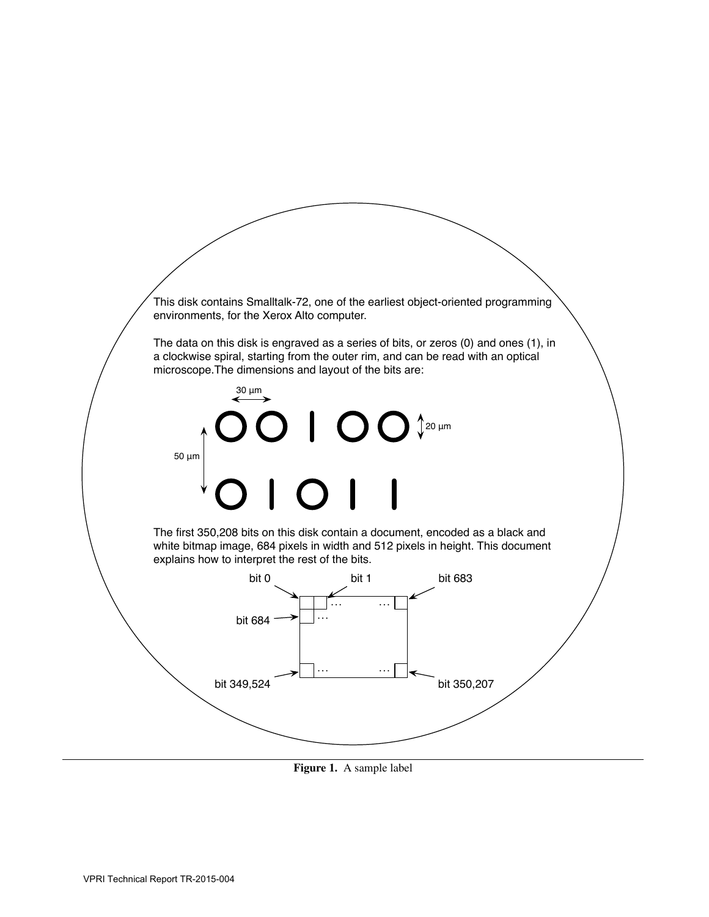This disk contains Smalltalk-72, one of the earliest object-oriented programming environments, for the Xerox Alto computer. The data on this disk is engraved as a series of bits, or zeros (0) and ones (1), in a clockwise spiral, starting from the outer rim, and can be read with an optical microscope.The dimensions and layout of the bits are: 30 μm 00 | 00<br>-------- $\int 20 \mu m$ 50 μm The first 350,208 bits on this disk contain a document, encoded as a black and white bitmap image, 684 pixels in width and 512 pixels in height. This document explains how to interpret the rest of the bits. bit 0 bit 1 bit 683 … … … bit 684 -… … … bit 349,524

Figure 1. A sample label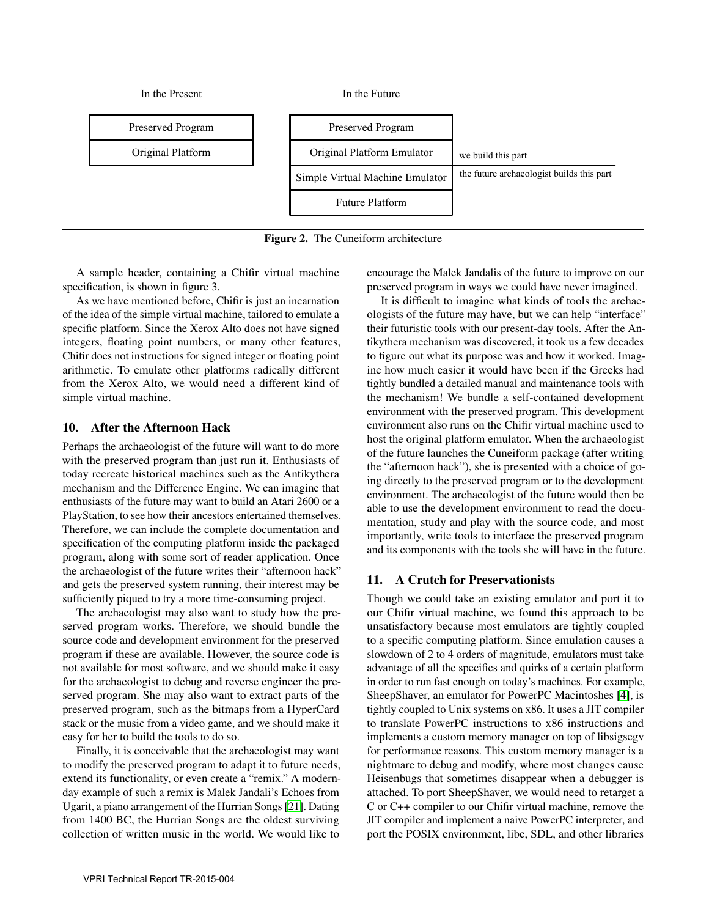

Figure 2. The Cuneiform architecture

A sample header, containing a Chifir virtual machine specification, is shown in figure 3.

As we have mentioned before, Chifir is just an incarnation of the idea of the simple virtual machine, tailored to emulate a specific platform. Since the Xerox Alto does not have signed integers, floating point numbers, or many other features, Chifir does not instructions for signed integer or floating point arithmetic. To emulate other platforms radically different from the Xerox Alto, we would need a different kind of simple virtual machine.

# 10. After the Afternoon Hack

Perhaps the archaeologist of the future will want to do more with the preserved program than just run it. Enthusiasts of today recreate historical machines such as the Antikythera mechanism and the Difference Engine. We can imagine that enthusiasts of the future may want to build an Atari 2600 or a PlayStation, to see how their ancestors entertained themselves. Therefore, we can include the complete documentation and specification of the computing platform inside the packaged program, along with some sort of reader application. Once the archaeologist of the future writes their "afternoon hack" and gets the preserved system running, their interest may be sufficiently piqued to try a more time-consuming project.

The archaeologist may also want to study how the preserved program works. Therefore, we should bundle the source code and development environment for the preserved program if these are available. However, the source code is not available for most software, and we should make it easy for the archaeologist to debug and reverse engineer the preserved program. She may also want to extract parts of the preserved program, such as the bitmaps from a HyperCard stack or the music from a video game, and we should make it easy for her to build the tools to do so.

Finally, it is conceivable that the archaeologist may want to modify the preserved program to adapt it to future needs, extend its functionality, or even create a "remix." A modernday example of such a remix is Malek Jandali's Echoes from Ugarit, a piano arrangement of the Hurrian Songs [\[21\]](#page-11-21). Dating from 1400 BC, the Hurrian Songs are the oldest surviving collection of written music in the world. We would like to

encourage the Malek Jandalis of the future to improve on our preserved program in ways we could have never imagined.

It is difficult to imagine what kinds of tools the archaeologists of the future may have, but we can help "interface" their futuristic tools with our present-day tools. After the Antikythera mechanism was discovered, it took us a few decades to figure out what its purpose was and how it worked. Imagine how much easier it would have been if the Greeks had tightly bundled a detailed manual and maintenance tools with the mechanism! We bundle a self-contained development environment with the preserved program. This development environment also runs on the Chifir virtual machine used to host the original platform emulator. When the archaeologist of the future launches the Cuneiform package (after writing the "afternoon hack"), she is presented with a choice of going directly to the preserved program or to the development environment. The archaeologist of the future would then be able to use the development environment to read the documentation, study and play with the source code, and most importantly, write tools to interface the preserved program and its components with the tools she will have in the future.

# 11. A Crutch for Preservationists

Though we could take an existing emulator and port it to our Chifir virtual machine, we found this approach to be unsatisfactory because most emulators are tightly coupled to a specific computing platform. Since emulation causes a slowdown of 2 to 4 orders of magnitude, emulators must take advantage of all the specifics and quirks of a certain platform in order to run fast enough on today's machines. For example, SheepShaver, an emulator for PowerPC Macintoshes [\[4\]](#page-10-6), is tightly coupled to Unix systems on x86. It uses a JIT compiler to translate PowerPC instructions to x86 instructions and implements a custom memory manager on top of libsigsegv for performance reasons. This custom memory manager is a nightmare to debug and modify, where most changes cause Heisenbugs that sometimes disappear when a debugger is attached. To port SheepShaver, we would need to retarget a C or C++ compiler to our Chifir virtual machine, remove the JIT compiler and implement a naive PowerPC interpreter, and port the POSIX environment, libc, SDL, and other libraries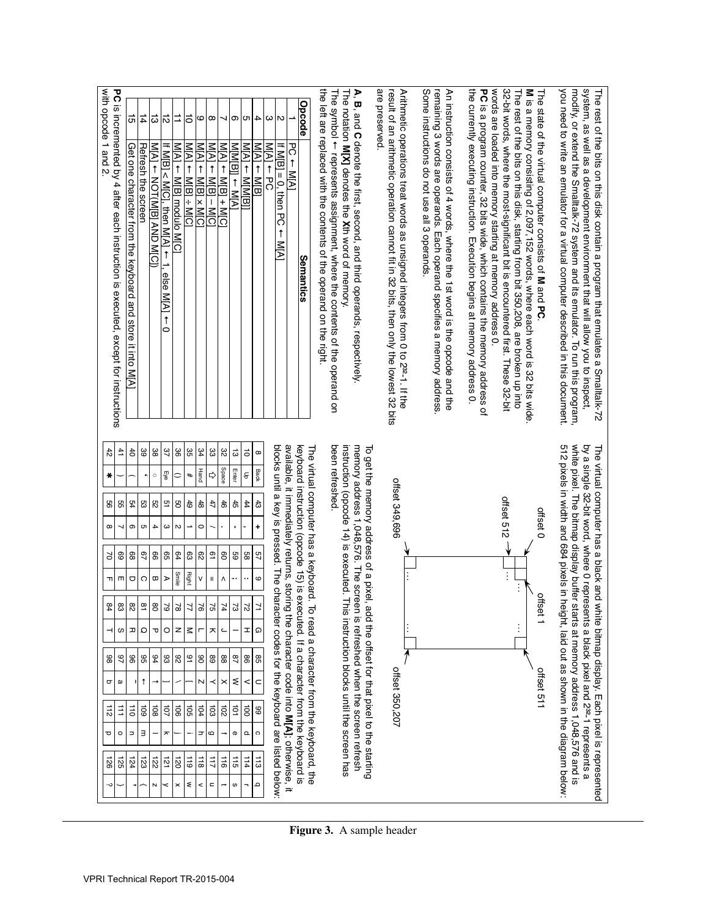| system, as well as a development environment that will allow you to inspect,<br>you need to write an emulator for a virtual computer described in this document.<br>modify, or extend the Smalltalk-72 system and its emulator. To run this program,<br>The rest of the bits on this disk contain a program that emulates a Smalltalk-72                                                                                                                                                                                                  | white pixel. The bitmap display buffer starts at memory address 1,048,576 and is<br>512 pixels in width and 684 pixels in height, laid out as shown in the diagram below:<br>by a single 32-bit word, where 0 represents a black pixel and 2 <sup>s2</sup> -1 represents a<br>The virtual computer has a black and white bitmap display. Each pixel is represented |
|-------------------------------------------------------------------------------------------------------------------------------------------------------------------------------------------------------------------------------------------------------------------------------------------------------------------------------------------------------------------------------------------------------------------------------------------------------------------------------------------------------------------------------------------|--------------------------------------------------------------------------------------------------------------------------------------------------------------------------------------------------------------------------------------------------------------------------------------------------------------------------------------------------------------------|
| the currently executing instruction. Execution begins at memory address 0.<br>words are loaded into memory starting at memory address 0.<br>32-bit words, where the most-significant bit is encountered first. These 32-bit<br>PC is a program counter, 32 bits wide, which contains the memory address of<br>The rest of the bits on this disk, starting from bit 350,208, are broken up into<br>The state of the virtual computer consists of M and PC<br>M is a memory consisting of 2,097,152 words, where each word is 32 bits wide- | offset 512<br>offset 0<br>offset 1<br>$\vdots$<br>offset 511                                                                                                                                                                                                                                                                                                       |
| Some instructions do not use all 3 operands.<br>An instruction consists of 4 a socrals, where the 1st acrains and the discussion consists of 4 a socration condition<br>remaining 3 words are operands. Each operand specifies a memory address                                                                                                                                                                                                                                                                                           |                                                                                                                                                                                                                                                                                                                                                                    |
| are preserved<br>result of an arithmetic operation cannot fit in 32 bits, then only the lowest 32 bits<br>Arithmetic operations treat words as unsigned integers from 0 to 2 <sup>82</sup> -1. If the                                                                                                                                                                                                                                                                                                                                     | offset 349,696<br>offset 350,207                                                                                                                                                                                                                                                                                                                                   |
| the left are replaced with the contents of the operand on the right.<br>A, B, and C denote the first, second, and third operands, respectively<br>The symbol $\leftarrow$ represents assignment, where the contents of the operand on<br>The notation M[X] denotes the Xth word of memory.                                                                                                                                                                                                                                                | been refreshed.<br>memory address 1,048,576. The screen is refreshed when the screen refresh<br>instruction (opcode 14) is executed. This instruction blocks until the screen has<br>To get the memory address of a pixel, add the offset for that pixel to the starting                                                                                           |
| <u>Opcode</u><br><b>Semantics</b>                                                                                                                                                                                                                                                                                                                                                                                                                                                                                                         | keyboard instruction (opcode 15) is executed. If a character from the keyboard is<br>The virtual computer has a keyboard.<br>To read a character from the keyboard, the                                                                                                                                                                                            |
| N<br>If $M[B] = 0$ , then PC $\leftarrow$ M[A]<br><b>PC + MIA</b>                                                                                                                                                                                                                                                                                                                                                                                                                                                                         | available, it immediately returns, storing the character code into M[A]; otherwise, it                                                                                                                                                                                                                                                                             |
| ω<br>MAI + PC                                                                                                                                                                                                                                                                                                                                                                                                                                                                                                                             | plock's unital a key is pressed. The cranacter codes to the Keyboard are listed polow.                                                                                                                                                                                                                                                                             |
| c<br>4<br>M[A] ← M[M[B]]<br>M[A] + M[B]                                                                                                                                                                                                                                                                                                                                                                                                                                                                                                   | $\vec{o}$<br>$\infty$<br>Back<br>ξ<br>44<br>$\frac{4}{3}$<br>+<br>49<br>89<br>$\circ$<br>Φ<br>I<br>98<br>95<br>$\prec$<br>$\subset$<br>$\overline{5}$<br>66<br>$\mathtt{\Omega}$<br>$\circ$<br>$\overline{13}$<br>114<br>م                                                                                                                                         |
| ω<br>┙<br>M[M[B]] ← M[A]                                                                                                                                                                                                                                                                                                                                                                                                                                                                                                                  | χg<br>ದ<br>Space<br>Enter<br>$\frac{4}{6}$<br>$45\,$<br>පි<br>69<br>٨<br>74<br>ے<br>88<br>$\overline{a}$<br>$\leq$<br>×<br>$\frac{1}{2}$<br>$\overline{5}$<br>Ф<br>$\frac{1}{2}$<br>$\frac{1}{9}$<br>$\pmb{\mathsf{c}}$                                                                                                                                            |
| $^\infty$<br>$M[A] \leftarrow M[B] - M[C]$<br>M[A] ← M[B] + M[C                                                                                                                                                                                                                                                                                                                                                                                                                                                                           | 33<br>$\Rightarrow$<br>47<br>$\overline{6}$<br>$\mathsf{II}$<br>ᆽ<br>68<br>≺<br>$\overline{5}$<br>6<br>$\overline{11}$<br>$\blacksquare$                                                                                                                                                                                                                           |
| ဖ<br>$M[A] \leftarrow M[B] \times M[C]$                                                                                                                                                                                                                                                                                                                                                                                                                                                                                                   | 35<br>34<br>Hand<br>$\pmb{\ast}$<br>$49\,$<br>$48\,$<br>∸<br>O<br>සි<br>ౘ<br>V<br>4<br>Σ<br>$\overline{5}$<br>80<br>N<br>$\frac{1}{2}$<br>104<br>F<br>$\overline{11}$<br>$\frac{11}{8}$<br>₹<br>$\overline{\phantom{a}}$                                                                                                                                           |
| $\vec{0}$<br>⋣<br>$M[A] \leftarrow M[B] \div M[C]$<br>M[A] ← M[B] modulo M[C]                                                                                                                                                                                                                                                                                                                                                                                                                                                             | 98<br>$\circ$<br>g<br>N<br>$\mathfrak{g}_4$<br>Smile<br>Right<br>$\approx$<br>z<br>$\overline{6}$<br>$\overline{5}$<br>$\overline{5}$<br>$\pmb{\times}$                                                                                                                                                                                                            |
| ದ<br>$\vec{v}$<br>$\mathsf{M}[\mathsf{A}] \leftarrow \mathsf{NOT}(\mathsf{M}[\mathsf{B}] \; \mathsf{AND} \; \mathsf{M}[\mathsf{C}])$<br>if M[B] < N[C], then M[A] + 1, else M[A] +<br>O                                                                                                                                                                                                                                                                                                                                                   | 38<br>37<br>Еyе<br>$\circ$<br>$\mathbb S^2$<br>ىي<br>د<br>4<br>ω<br>8<br>œ,<br>⋗<br>$\hbox{\scriptsize\it\sqcup}$<br>$\overline{8}$<br>Σą<br>$\circ$<br>τ<br>$^{94}$<br>83<br>$\rightarrow$<br>107<br>$\overline{6}$<br>≂<br>$\vec{z}$<br>$\frac{1}{2}$<br>$\blacksquare$<br>×                                                                                     |
| 4<br>Refresh the screen                                                                                                                                                                                                                                                                                                                                                                                                                                                                                                                   | 39<br>53<br><b>CT</b><br>29<br>C<br>$\frac{8}{2}$<br>O<br>96<br>$^\uparrow$<br>601<br>$\exists$<br>123                                                                                                                                                                                                                                                             |
| <u>ដ</u><br>Get one character from the keyboard and store it into M[A]                                                                                                                                                                                                                                                                                                                                                                                                                                                                    | $\ddot{d}$<br>54<br>Φ<br>89<br>U<br>82<br>고<br>96<br>$\overline{11}$<br>$\Rightarrow$<br>124                                                                                                                                                                                                                                                                       |
| PC is incremented by 4 after each instruction is executed, except for instructions<br>with opcode 1 and 2.                                                                                                                                                                                                                                                                                                                                                                                                                                | 41<br>$42$<br>×<br>99<br>gg<br>$^\infty$<br>↘<br>69<br>2<br>m<br>F<br>83<br>84<br>ဖ<br>86<br>$\overline{6}$<br>σ<br>$\pmb{\omega}$<br>$\frac{1}{5}$<br>$\overrightarrow{=}$<br>$\circ$<br>τ<br>55<br>$\overline{56}$<br>¿.                                                                                                                                         |
|                                                                                                                                                                                                                                                                                                                                                                                                                                                                                                                                           |                                                                                                                                                                                                                                                                                                                                                                    |

Figure 3. A sample header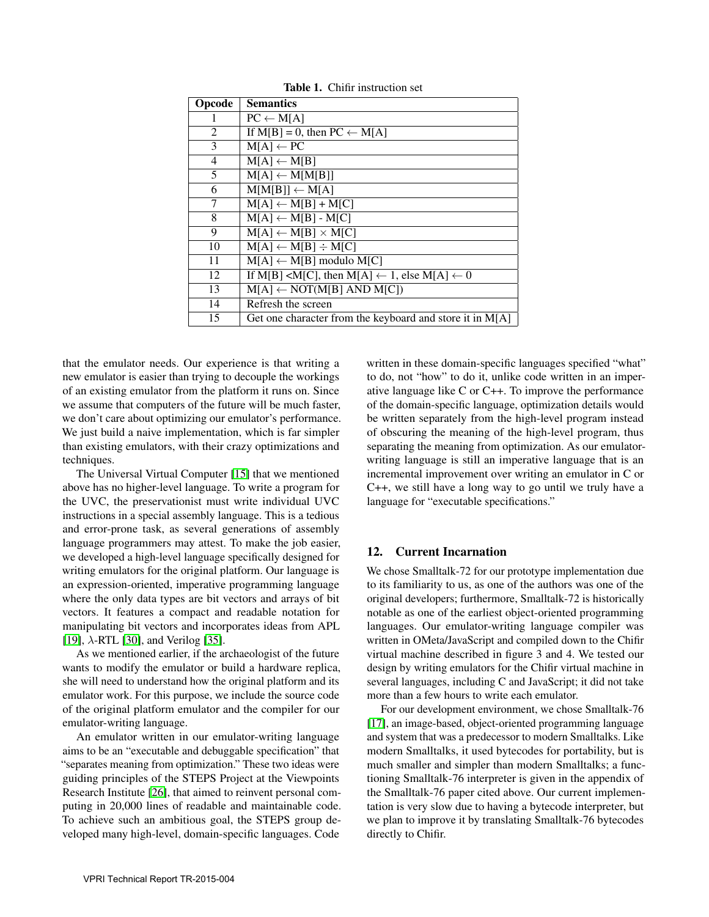| <b>Opcode</b>  | <b>Semantics</b>                                                                                  |
|----------------|---------------------------------------------------------------------------------------------------|
|                | $PC \leftarrow M[A]$                                                                              |
| 2              | If $M[B] = 0$ , then $PC \leftarrow M[A]$                                                         |
| 3              | $M[A] \leftarrow PC$                                                                              |
| $\overline{4}$ | $M[A] \leftarrow M[B]$                                                                            |
| 5              | $M[A] \leftarrow M[M[B]]$                                                                         |
| 6              | $M[M[B]] \leftarrow M[A]$                                                                         |
| 7              | $M[A] \leftarrow M[B] + M[C]$                                                                     |
| 8              | $M[A] \leftarrow M[B] - M[C]$                                                                     |
| 9              | $M[A] \leftarrow M[B] \times M[C]$                                                                |
| 10             | $M[A] \leftarrow M[B] \div M[C]$                                                                  |
| 11             | $M[A] \leftarrow M[B]$ modulo M[C]                                                                |
| 12             | If M[B] <m[c], <math="" m[a]="" then="">\leftarrow 1, else M[A] <math>\leftarrow</math> 0</m[c],> |
| 13             | $M[A] \leftarrow NOT(M[B] AND M[C])$                                                              |
| 14             | Refresh the screen                                                                                |
| 15             | Get one character from the keyboard and store it in M[A]                                          |

Table 1. Chifir instruction set

that the emulator needs. Our experience is that writing a new emulator is easier than trying to decouple the workings of an existing emulator from the platform it runs on. Since we assume that computers of the future will be much faster, we don't care about optimizing our emulator's performance. We just build a naive implementation, which is far simpler than existing emulators, with their crazy optimizations and techniques.

The Universal Virtual Computer [\[15\]](#page-11-18) that we mentioned above has no higher-level language. To write a program for the UVC, the preservationist must write individual UVC instructions in a special assembly language. This is a tedious and error-prone task, as several generations of assembly language programmers may attest. To make the job easier, we developed a high-level language specifically designed for writing emulators for the original platform. Our language is an expression-oriented, imperative programming language where the only data types are bit vectors and arrays of bit vectors. It features a compact and readable notation for manipulating bit vectors and incorporates ideas from APL [\[19\]](#page-11-22),  $\lambda$ -RTL [\[30\]](#page-11-23), and Verilog [\[35\]](#page-11-24).

As we mentioned earlier, if the archaeologist of the future wants to modify the emulator or build a hardware replica, she will need to understand how the original platform and its emulator work. For this purpose, we include the source code of the original platform emulator and the compiler for our emulator-writing language.

An emulator written in our emulator-writing language aims to be an "executable and debuggable specification" that "separates meaning from optimization." These two ideas were guiding principles of the STEPS Project at the Viewpoints Research Institute [\[26\]](#page-11-25), that aimed to reinvent personal computing in 20,000 lines of readable and maintainable code. To achieve such an ambitious goal, the STEPS group developed many high-level, domain-specific languages. Code

written in these domain-specific languages specified "what" to do, not "how" to do it, unlike code written in an imperative language like C or C++. To improve the performance of the domain-specific language, optimization details would be written separately from the high-level program instead of obscuring the meaning of the high-level program, thus separating the meaning from optimization. As our emulatorwriting language is still an imperative language that is an incremental improvement over writing an emulator in C or C++, we still have a long way to go until we truly have a language for "executable specifications."

#### 12. Current Incarnation

We chose Smalltalk-72 for our prototype implementation due to its familiarity to us, as one of the authors was one of the original developers; furthermore, Smalltalk-72 is historically notable as one of the earliest object-oriented programming languages. Our emulator-writing language compiler was written in OMeta/JavaScript and compiled down to the Chifir virtual machine described in figure 3 and 4. We tested our design by writing emulators for the Chifir virtual machine in several languages, including C and JavaScript; it did not take more than a few hours to write each emulator.

For our development environment, we chose Smalltalk-76 [\[17\]](#page-11-26), an image-based, object-oriented programming language and system that was a predecessor to modern Smalltalks. Like modern Smalltalks, it used bytecodes for portability, but is much smaller and simpler than modern Smalltalks; a functioning Smalltalk-76 interpreter is given in the appendix of the Smalltalk-76 paper cited above. Our current implementation is very slow due to having a bytecode interpreter, but we plan to improve it by translating Smalltalk-76 bytecodes directly to Chifir.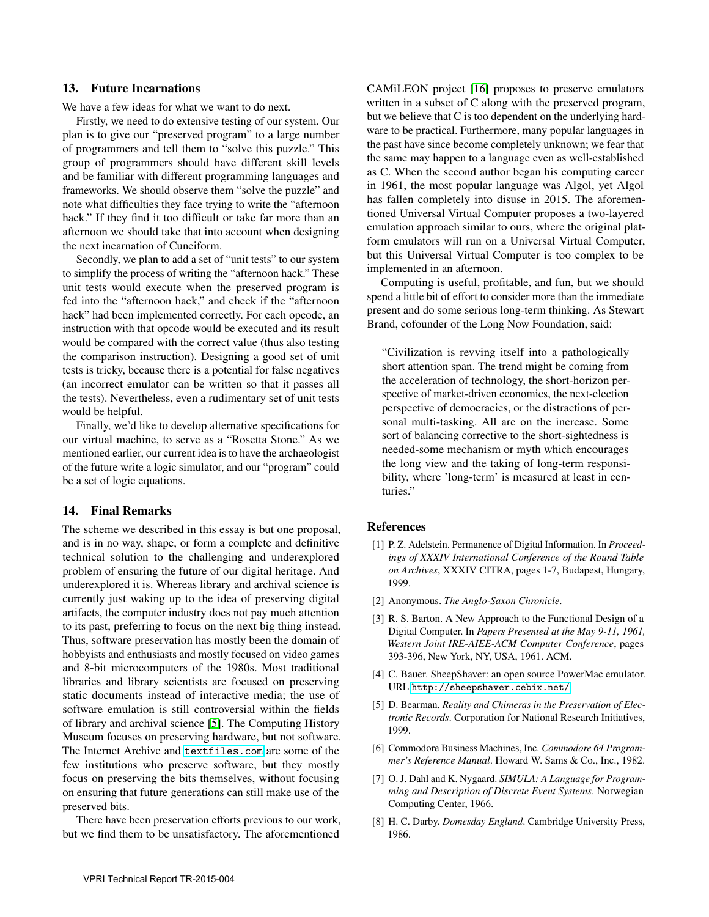# 13. Future Incarnations

We have a few ideas for what we want to do next.

Firstly, we need to do extensive testing of our system. Our plan is to give our "preserved program" to a large number of programmers and tell them to "solve this puzzle." This group of programmers should have different skill levels and be familiar with different programming languages and frameworks. We should observe them "solve the puzzle" and note what difficulties they face trying to write the "afternoon hack." If they find it too difficult or take far more than an afternoon we should take that into account when designing the next incarnation of Cuneiform.

Secondly, we plan to add a set of "unit tests" to our system to simplify the process of writing the "afternoon hack." These unit tests would execute when the preserved program is fed into the "afternoon hack," and check if the "afternoon hack" had been implemented correctly. For each opcode, an instruction with that opcode would be executed and its result would be compared with the correct value (thus also testing the comparison instruction). Designing a good set of unit tests is tricky, because there is a potential for false negatives (an incorrect emulator can be written so that it passes all the tests). Nevertheless, even a rudimentary set of unit tests would be helpful.

Finally, we'd like to develop alternative specifications for our virtual machine, to serve as a "Rosetta Stone." As we mentioned earlier, our current idea is to have the archaeologist of the future write a logic simulator, and our "program" could be a set of logic equations.

# 14. Final Remarks

The scheme we described in this essay is but one proposal, and is in no way, shape, or form a complete and definitive technical solution to the challenging and underexplored problem of ensuring the future of our digital heritage. And underexplored it is. Whereas library and archival science is currently just waking up to the idea of preserving digital artifacts, the computer industry does not pay much attention to its past, preferring to focus on the next big thing instead. Thus, software preservation has mostly been the domain of hobbyists and enthusiasts and mostly focused on video games and 8-bit microcomputers of the 1980s. Most traditional libraries and library scientists are focused on preserving static documents instead of interactive media; the use of software emulation is still controversial within the fields of library and archival science [\[5\]](#page-10-7). The Computing History Museum focuses on preserving hardware, but not software. The Internet Archive and <textfiles.com> are some of the few institutions who preserve software, but they mostly focus on preserving the bits themselves, without focusing on ensuring that future generations can still make use of the preserved bits.

There have been preservation efforts previous to our work, but we find them to be unsatisfactory. The aforementioned

CAMiLEON project [\[16\]](#page-11-27) proposes to preserve emulators written in a subset of C along with the preserved program, but we believe that C is too dependent on the underlying hardware to be practical. Furthermore, many popular languages in the past have since become completely unknown; we fear that the same may happen to a language even as well-established as C. When the second author began his computing career in 1961, the most popular language was Algol, yet Algol has fallen completely into disuse in 2015. The aforementioned Universal Virtual Computer proposes a two-layered emulation approach similar to ours, where the original platform emulators will run on a Universal Virtual Computer, but this Universal Virtual Computer is too complex to be implemented in an afternoon.

Computing is useful, profitable, and fun, but we should spend a little bit of effort to consider more than the immediate present and do some serious long-term thinking. As Stewart Brand, cofounder of the Long Now Foundation, said:

"Civilization is revving itself into a pathologically short attention span. The trend might be coming from the acceleration of technology, the short-horizon perspective of market-driven economics, the next-election perspective of democracies, or the distractions of personal multi-tasking. All are on the increase. Some sort of balancing corrective to the short-sightedness is needed-some mechanism or myth which encourages the long view and the taking of long-term responsibility, where 'long-term' is measured at least in centuries."

#### References

- <span id="page-10-2"></span>[1] P. Z. Adelstein. Permanence of Digital Information. In *Proceedings of XXXIV International Conference of the Round Table on Archives*, XXXIV CITRA, pages 1-7, Budapest, Hungary, 1999.
- <span id="page-10-0"></span>[2] Anonymous. *The Anglo-Saxon Chronicle*.
- <span id="page-10-5"></span>[3] R. S. Barton. A New Approach to the Functional Design of a Digital Computer. In *Papers Presented at the May 9-11, 1961, Western Joint IRE-AIEE-ACM Computer Conference*, pages 393-396, New York, NY, USA, 1961. ACM.
- <span id="page-10-6"></span>[4] C. Bauer. SheepShaver: an open source PowerMac emulator. URL <http://sheepshaver.cebix.net/>.
- <span id="page-10-7"></span>[5] D. Bearman. *Reality and Chimeras in the Preservation of Electronic Records*. Corporation for National Research Initiatives, 1999.
- <span id="page-10-3"></span>[6] Commodore Business Machines, Inc. *Commodore 64 Programmer's Reference Manual*. Howard W. Sams & Co., Inc., 1982.
- <span id="page-10-4"></span>[7] O. J. Dahl and K. Nygaard. *SIMULA: A Language for Programming and Description of Discrete Event Systems*. Norwegian Computing Center, 1966.
- <span id="page-10-1"></span>[8] H. C. Darby. *Domesday England*. Cambridge University Press, 1986.